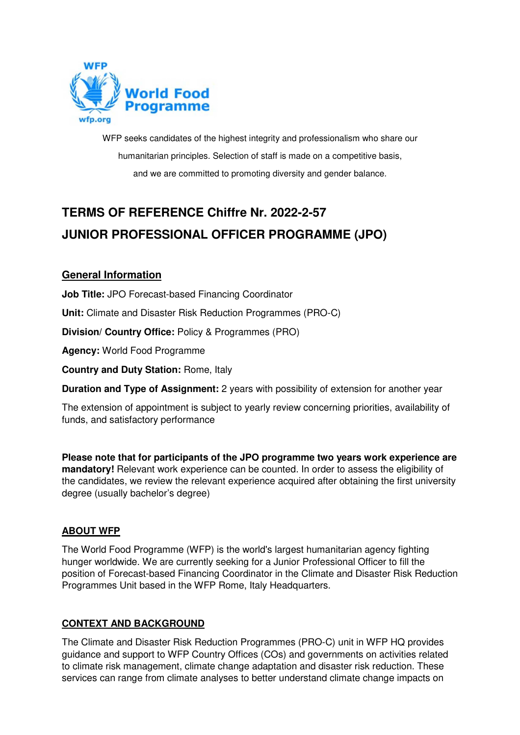

WFP seeks candidates of the highest integrity and professionalism who share our humanitarian principles. Selection of staff is made on a competitive basis, and we are committed to promoting diversity and gender balance.

# **TERMS OF REFERENCE Chiffre Nr. 2022-2-57 JUNIOR PROFESSIONAL OFFICER PROGRAMME (JPO)**

# **General Information**

**Job Title:** JPO Forecast-based Financing Coordinator

**Unit:** Climate and Disaster Risk Reduction Programmes (PRO-C)

**Division/ Country Office:** Policy & Programmes (PRO)

**Agency:** World Food Programme

**Country and Duty Station:** Rome, Italy

**Duration and Type of Assignment:** 2 years with possibility of extension for another year

The extension of appointment is subject to yearly review concerning priorities, availability of funds, and satisfactory performance

**Please note that for participants of the JPO programme two years work experience are mandatory!** Relevant work experience can be counted. In order to assess the eligibility of the candidates, we review the relevant experience acquired after obtaining the first university degree (usually bachelor's degree)

## **ABOUT WFP**

The World Food Programme (WFP) is the world's largest humanitarian agency fighting hunger worldwide. We are currently seeking for a Junior Professional Officer to fill the position of Forecast-based Financing Coordinator in the Climate and Disaster Risk Reduction Programmes Unit based in the WFP Rome, Italy Headquarters.

## **CONTEXT AND BACKGROUND**

The Climate and Disaster Risk Reduction Programmes (PRO-C) unit in WFP HQ provides guidance and support to WFP Country Offices (COs) and governments on activities related to climate risk management, climate change adaptation and disaster risk reduction. These services can range from climate analyses to better understand climate change impacts on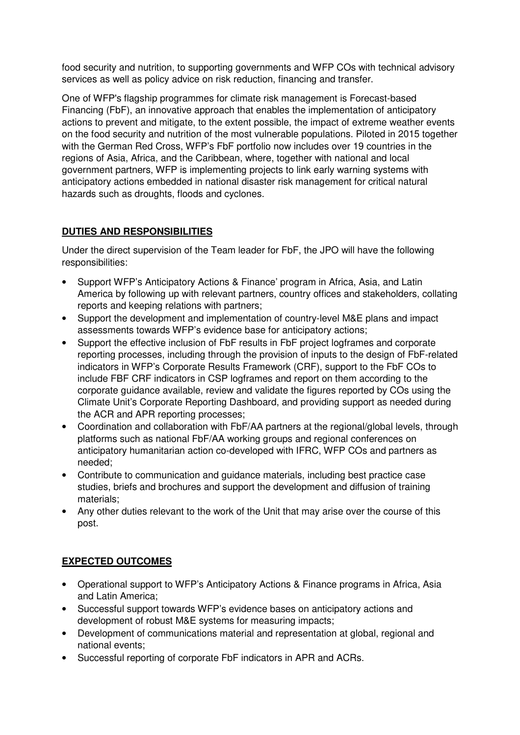food security and nutrition, to supporting governments and WFP COs with technical advisory services as well as policy advice on risk reduction, financing and transfer.

One of WFP's flagship programmes for climate risk management is Forecast-based Financing (FbF), an innovative approach that enables the implementation of anticipatory actions to prevent and mitigate, to the extent possible, the impact of extreme weather events on the food security and nutrition of the most vulnerable populations. Piloted in 2015 together with the German Red Cross, WFP's FbF portfolio now includes over 19 countries in the regions of Asia, Africa, and the Caribbean, where, together with national and local government partners, WFP is implementing projects to link early warning systems with anticipatory actions embedded in national disaster risk management for critical natural hazards such as droughts, floods and cyclones.

## **DUTIES AND RESPONSIBILITIES**

Under the direct supervision of the Team leader for FbF, the JPO will have the following responsibilities:

- Support WFP's Anticipatory Actions & Finance' program in Africa, Asia, and Latin America by following up with relevant partners, country offices and stakeholders, collating reports and keeping relations with partners;
- Support the development and implementation of country-level M&E plans and impact assessments towards WFP's evidence base for anticipatory actions;
- Support the effective inclusion of FbF results in FbF project logframes and corporate reporting processes, including through the provision of inputs to the design of FbF-related indicators in WFP's Corporate Results Framework (CRF), support to the FbF COs to include FBF CRF indicators in CSP logframes and report on them according to the corporate guidance available, review and validate the figures reported by COs using the Climate Unit's Corporate Reporting Dashboard, and providing support as needed during the ACR and APR reporting processes;
- Coordination and collaboration with FbF/AA partners at the regional/global levels, through platforms such as national FbF/AA working groups and regional conferences on anticipatory humanitarian action co-developed with IFRC, WFP COs and partners as needed;
- Contribute to communication and guidance materials, including best practice case studies, briefs and brochures and support the development and diffusion of training materials;
- Any other duties relevant to the work of the Unit that may arise over the course of this post.

## **EXPECTED OUTCOMES**

- Operational support to WFP's Anticipatory Actions & Finance programs in Africa, Asia and Latin America;
- Successful support towards WFP's evidence bases on anticipatory actions and development of robust M&E systems for measuring impacts;
- Development of communications material and representation at global, regional and national events;
- Successful reporting of corporate FbF indicators in APR and ACRs.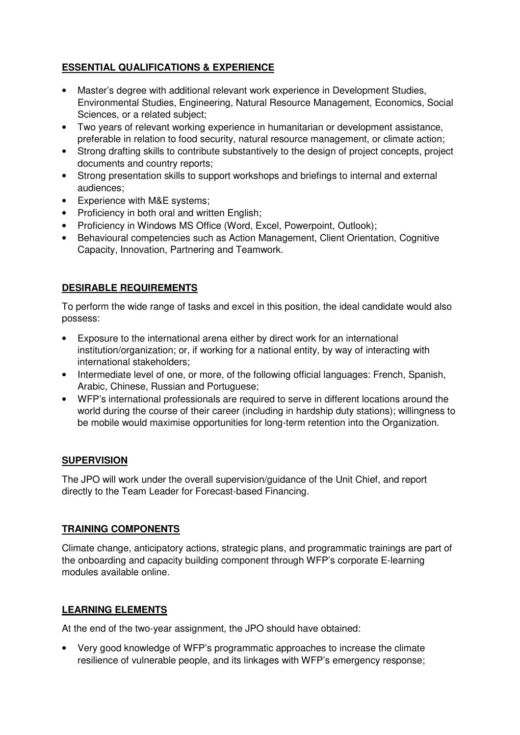# **ESSENTIAL QUALIFICATIONS & EXPERIENCE**

- Master's degree with additional relevant work experience in Development Studies, Environmental Studies, Engineering, Natural Resource Management, Economics, Social Sciences, or a related subject;
- Two years of relevant working experience in humanitarian or development assistance, preferable in relation to food security, natural resource management, or climate action;
- Strong drafting skills to contribute substantively to the design of project concepts, project documents and country reports;
- Strong presentation skills to support workshops and briefings to internal and external audiences;
- Experience with M&E systems;
- Proficiency in both oral and written English;
- Proficiency in Windows MS Office (Word, Excel, Powerpoint, Outlook);
- Behavioural competencies such as Action Management, Client Orientation, Cognitive Capacity, Innovation, Partnering and Teamwork.

## **DESIRABLE REQUIREMENTS**

To perform the wide range of tasks and excel in this position, the ideal candidate would also possess:

- Exposure to the international arena either by direct work for an international institution/organization; or, if working for a national entity, by way of interacting with international stakeholders;
- Intermediate level of one, or more, of the following official languages: French, Spanish, Arabic, Chinese, Russian and Portuguese;
- WFP's international professionals are required to serve in different locations around the world during the course of their career (including in hardship duty stations); willingness to be mobile would maximise opportunities for long-term retention into the Organization.

## **SUPERVISION**

The JPO will work under the overall supervision/guidance of the Unit Chief, and report directly to the Team Leader for Forecast-based Financing.

## **TRAINING COMPONENTS**

Climate change, anticipatory actions, strategic plans, and programmatic trainings are part of the onboarding and capacity building component through WFP's corporate E-learning modules available online.

## **LEARNING ELEMENTS**

At the end of the two-year assignment, the JPO should have obtained:

• Very good knowledge of WFP's programmatic approaches to increase the climate resilience of vulnerable people, and its linkages with WFP's emergency response;